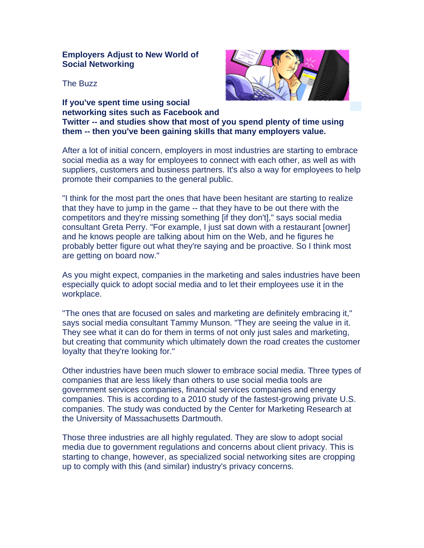## **Employers Adjust to New World of Social Networking**

The Buzz

**If you've spent time using social networking sites such as Facebook and Twitter -- and studies show that most of you spend plenty of time using them -- then you've been gaining skills that many employers value.** 

After a lot of initial concern, employers in most industries are starting to embrace social media as a way for employees to connect with each other, as well as with suppliers, customers and business partners. It's also a way for employees to help promote their companies to the general public.

"I think for the most part the ones that have been hesitant are starting to realize that they have to jump in the game -- that they have to be out there with the competitors and they're missing something [if they don't]," says social media consultant Greta Perry. "For example, I just sat down with a restaurant [owner] and he knows people are talking about him on the Web, and he figures he probably better figure out what they're saying and be proactive. So I think most are getting on board now."

As you might expect, companies in the marketing and sales industries have been especially quick to adopt social media and to let their employees use it in the workplace.

"The ones that are focused on sales and marketing are definitely embracing it," says social media consultant Tammy Munson. "They are seeing the value in it. They see what it can do for them in terms of not only just sales and marketing, but creating that community which ultimately down the road creates the customer loyalty that they're looking for."

Other industries have been much slower to embrace social media. Three types of companies that are less likely than others to use social media tools are government services companies, financial services companies and energy companies. This is according to a 2010 study of the fastest-growing private U.S. companies. The study was conducted by the Center for Marketing Research at the University of Massachusetts Dartmouth.

Those three industries are all highly regulated. They are slow to adopt social media due to government regulations and concerns about client privacy. This is starting to change, however, as specialized social networking sites are cropping up to comply with this (and similar) industry's privacy concerns.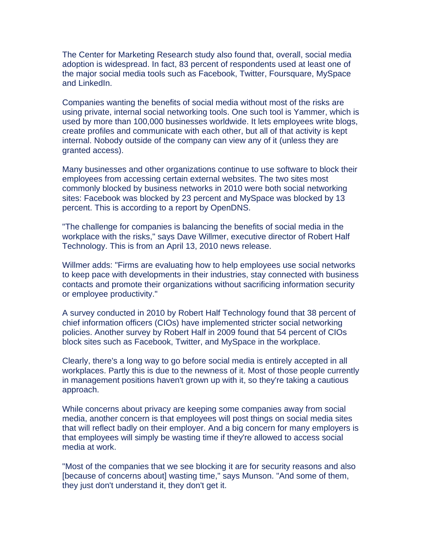The Center for Marketing Research study also found that, overall, social media adoption is widespread. In fact, 83 percent of respondents used at least one of the major social media tools such as Facebook, Twitter, Foursquare, MySpace and LinkedIn.

Companies wanting the benefits of social media without most of the risks are using private, internal social networking tools. One such tool is Yammer, which is used by more than 100,000 businesses worldwide. It lets employees write blogs, create profiles and communicate with each other, but all of that activity is kept internal. Nobody outside of the company can view any of it (unless they are granted access).

Many businesses and other organizations continue to use software to block their employees from accessing certain external websites. The two sites most commonly blocked by business networks in 2010 were both social networking sites: Facebook was blocked by 23 percent and MySpace was blocked by 13 percent. This is according to a report by OpenDNS.

"The challenge for companies is balancing the benefits of social media in the workplace with the risks," says Dave Willmer, executive director of Robert Half Technology. This is from an April 13, 2010 news release.

Willmer adds: "Firms are evaluating how to help employees use social networks to keep pace with developments in their industries, stay connected with business contacts and promote their organizations without sacrificing information security or employee productivity."

A survey conducted in 2010 by Robert Half Technology found that 38 percent of chief information officers (CIOs) have implemented stricter social networking policies. Another survey by Robert Half in 2009 found that 54 percent of CIOs block sites such as Facebook, Twitter, and MySpace in the workplace.

Clearly, there's a long way to go before social media is entirely accepted in all workplaces. Partly this is due to the newness of it. Most of those people currently in management positions haven't grown up with it, so they're taking a cautious approach.

While concerns about privacy are keeping some companies away from social media, another concern is that employees will post things on social media sites that will reflect badly on their employer. And a big concern for many employers is that employees will simply be wasting time if they're allowed to access social media at work.

"Most of the companies that we see blocking it are for security reasons and also [because of concerns about] wasting time," says Munson. "And some of them, they just don't understand it, they don't get it.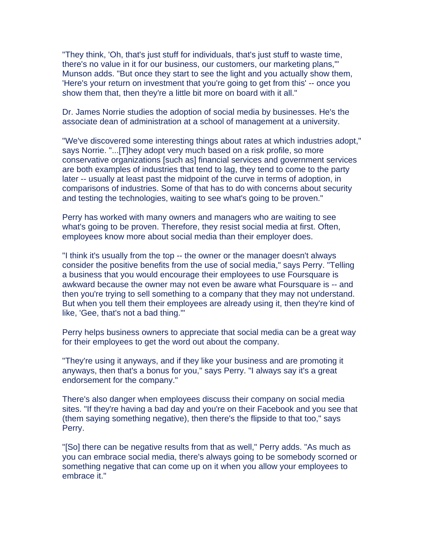"They think, 'Oh, that's just stuff for individuals, that's just stuff to waste time, there's no value in it for our business, our customers, our marketing plans,'" Munson adds. "But once they start to see the light and you actually show them, 'Here's your return on investment that you're going to get from this' -- once you show them that, then they're a little bit more on board with it all."

Dr. James Norrie studies the adoption of social media by businesses. He's the associate dean of administration at a school of management at a university.

"We've discovered some interesting things about rates at which industries adopt," says Norrie. "...[T]hey adopt very much based on a risk profile, so more conservative organizations [such as] financial services and government services are both examples of industries that tend to lag, they tend to come to the party later -- usually at least past the midpoint of the curve in terms of adoption, in comparisons of industries. Some of that has to do with concerns about security and testing the technologies, waiting to see what's going to be proven."

Perry has worked with many owners and managers who are waiting to see what's going to be proven. Therefore, they resist social media at first. Often, employees know more about social media than their employer does.

"I think it's usually from the top -- the owner or the manager doesn't always consider the positive benefits from the use of social media," says Perry. "Telling a business that you would encourage their employees to use Foursquare is awkward because the owner may not even be aware what Foursquare is -- and then you're trying to sell something to a company that they may not understand. But when you tell them their employees are already using it, then they're kind of like, 'Gee, that's not a bad thing.'"

Perry helps business owners to appreciate that social media can be a great way for their employees to get the word out about the company.

"They're using it anyways, and if they like your business and are promoting it anyways, then that's a bonus for you," says Perry. "I always say it's a great endorsement for the company."

There's also danger when employees discuss their company on social media sites. "If they're having a bad day and you're on their Facebook and you see that (them saying something negative), then there's the flipside to that too," says Perry.

"[So] there can be negative results from that as well," Perry adds. "As much as you can embrace social media, there's always going to be somebody scorned or something negative that can come up on it when you allow your employees to embrace it."